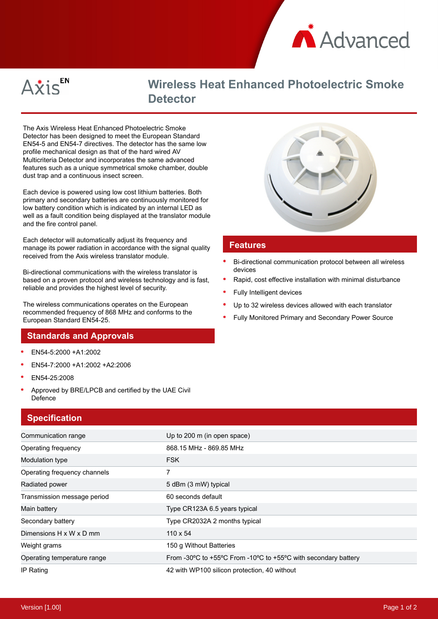



# **Wireless Heat Enhanced Photoelectric Smoke Detector**

The Axis Wireless Heat Enhanced Photoelectric Smoke Detector has been designed to meet the European Standard EN54-5 and EN54-7 directives. The detector has the same low profile mechanical design as that of the hard wired AV Multicriteria Detector and incorporates the same advanced features such as a unique symmetrical smoke chamber, double dust trap and a continuous insect screen.

Each device is powered using low cost lithium batteries. Both primary and secondary batteries are continuously monitored for low battery condition which is indicated by an internal LED as well as a fault condition being displayed at the translator module and the fire control panel.

Each detector will automatically adjust its frequency and manage its power radiation in accordance with the signal quality received from the Axis wireless translator module.

Bi-directional communications with the wireless translator is based on a proven protocol and wireless technology and is fast, reliable and provides the highest level of security.

The wireless communications operates on the European recommended frequency of 868 MHz and conforms to the European Standard EN54-25.

#### **Standards and Approvals**

- EN54-5:2000 +A1:2002
- EN54-7:2000 +A1:2002 +A2:2006
- EN54-25:2008
- Approved by BRE/LPCB and certified by the UAE Civil Defence

## **Specification**



#### **Features**

- Bi-directional communication protocol between all wireless devices
- Rapid, cost effective installation with minimal disturbance
- Fully Intelligent devices
- Up to 32 wireless devices allowed with each translator
- Fully Monitored Primary and Secondary Power Source

| <b>Opechication</b>          |                                                                                                        |
|------------------------------|--------------------------------------------------------------------------------------------------------|
| Communication range          | Up to 200 m (in open space)                                                                            |
| Operating frequency          | 868.15 MHz - 869.85 MHz                                                                                |
| Modulation type              | <b>FSK</b>                                                                                             |
| Operating frequency channels | 7                                                                                                      |
| Radiated power               | 5 dBm (3 mW) typical                                                                                   |
| Transmission message period  | 60 seconds default                                                                                     |
| Main battery                 | Type CR123A 6.5 years typical                                                                          |
| Secondary battery            | Type CR2032A 2 months typical                                                                          |
| Dimensions H x W x D mm      | $110 \times 54$                                                                                        |
| Weight grams                 | 150 g Without Batteries                                                                                |
| Operating temperature range  | From -30 $\degree$ C to +55 $\degree$ C From -10 $\degree$ C to +55 $\degree$ C with secondary battery |
| IP Rating                    | 42 with WP100 silicon protection, 40 without                                                           |